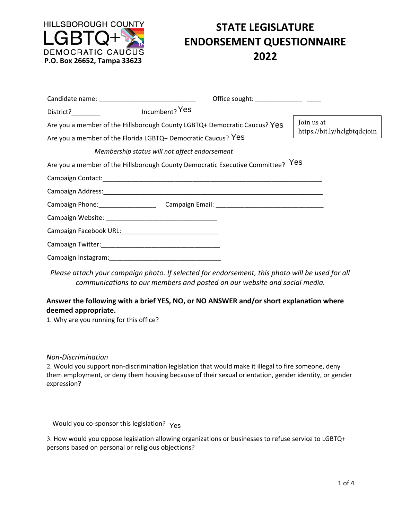

# **STATE LEGISLATURE ENDORSEMENT QUESTIONNAIRE**

|                                                                                                                                            |                                               | Office sought: ______________________      |  |
|--------------------------------------------------------------------------------------------------------------------------------------------|-----------------------------------------------|--------------------------------------------|--|
| District? District                                                                                                                         | Incumbent? Yes                                |                                            |  |
| Are you a member of the Hillsborough County LGBTQ+ Democratic Caucus? Yes<br>Are you a member of the Florida LGBTQ+ Democratic Caucus? Yes |                                               | Join us at<br>https://bit.ly/hclgbtqdcjoin |  |
|                                                                                                                                            | Membership status will not affect endorsement |                                            |  |
| Are you a member of the Hillsborough County Democratic Executive Committee? Yes                                                            |                                               |                                            |  |
|                                                                                                                                            |                                               |                                            |  |
|                                                                                                                                            |                                               |                                            |  |
|                                                                                                                                            |                                               |                                            |  |
|                                                                                                                                            |                                               |                                            |  |
| Campaign Facebook URL: New York Campaign Facebook URL:                                                                                     |                                               |                                            |  |
|                                                                                                                                            |                                               |                                            |  |
|                                                                                                                                            |                                               |                                            |  |

*Please attach your campaign photo. If selected for endorsement, this photo will be used for all communications to our members and posted on our website and social media.* 

## **Answer the following with a brief YES, NO, or NO ANSWER and/or short explanation where deemed appropriate.**

1. Why are you running for this office?

#### *Non‐Discrimination*

2. Would you support non-discrimination legislation that would make it illegal to fire someone, deny them employment, or deny them housing because of their sexual orientation, gender identity, or gender expression?

Would you co-sponsor this legislation? Yes

3. How would you oppose legislation allowing organizations or businesses to refuse service to LGBTQ+ persons based on personal or religious objections?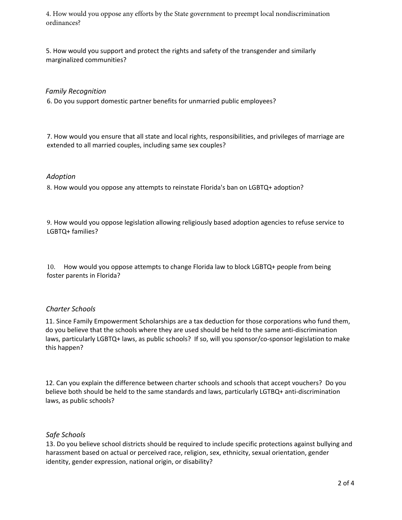4. How would you oppose any efforts by the State government to preempt local nondiscrimination ordinances?

5. How would you support and protect the rights and safety of the transgender and similarly marginalized communities?

## *Family Recognition*

6. Do you support domestic partner benefits for unmarried public employees?

7. How would you ensure that all state and local rights, responsibilities, and privileges of marriage are extended to all married couples, including same sex couples?

#### *Adoption*

8. How would you oppose any attempts to reinstate Florida's ban on LGBTQ+ adoption?

9. How would you oppose legislation allowing religiously based adoption agencies to refuse service to LGBTQ+ families?

10. How would you oppose attempts to change Florida law to block LGBTQ+ people from being foster parents in Florida?

## *Charter Schools*

11. Since Family Empowerment Scholarships are a tax deduction for those corporations who fund them, do you believe that the schools where they are used should be held to the same anti‐discrimination laws, particularly LGBTQ+ laws, as public schools? If so, will you sponsor/co‐sponsor legislation to make this happen?

12. Can you explain the difference between charter schools and schools that accept vouchers? Do you believe both should be held to the same standards and laws, particularly LGTBQ+ anti-discrimination laws, as public schools?

## *Safe Schools*

13. Do you believe school districts should be required to include specific protections against bullying and harassment based on actual or perceived race, religion, sex, ethnicity, sexual orientation, gender identity, gender expression, national origin, or disability?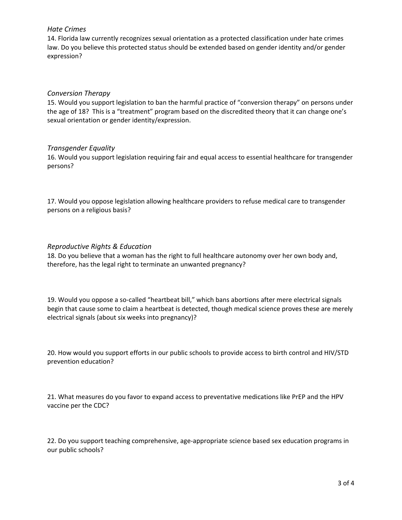## *Hate Crimes*

14. Florida law currently recognizes sexual orientation as a protected classification under hate crimes law. Do you believe this protected status should be extended based on gender identity and/or gender expression?

## *Conversion Therapy*

15. Would you support legislation to ban the harmful practice of "conversion therapy" on persons under the age of 18? This is a "treatment" program based on the discredited theory that it can change one's sexual orientation or gender identity/expression.

## *Transgender Equality*

16. Would you support legislation requiring fair and equal access to essential healthcare for transgender persons?

17. Would you oppose legislation allowing healthcare providers to refuse medical care to transgender persons on a religious basis?

## *Reproductive Rights & Education*

18. Do you believe that a woman has the right to full healthcare autonomy over her own body and, therefore, has the legal right to terminate an unwanted pregnancy?

19. Would you oppose a so-called "heartbeat bill," which bans abortions after mere electrical signals begin that cause some to claim a heartbeat is detected, though medical science proves these are merely electrical signals (about six weeks into pregnancy)?

20. How would you support efforts in our public schools to provide access to birth control and HIV/STD prevention education?

21. What measures do you favor to expand access to preventative medications like PrEP and the HPV vaccine per the CDC?

22. Do you support teaching comprehensive, age‐appropriate science based sex education programs in our public schools?